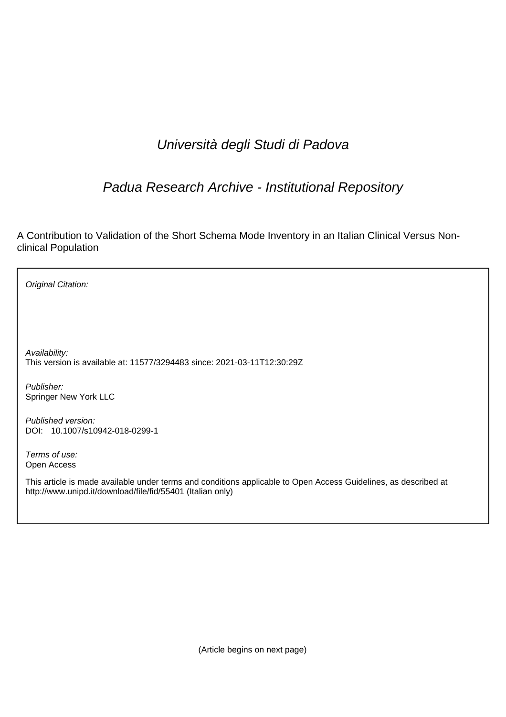# Università degli Studi di Padova

Padua Research Archive - Institutional Repository

A Contribution to Validation of the Short Schema Mode Inventory in an Italian Clinical Versus Nonclinical Population

Availability: This version is available at: 11577/3294483 since: 2021-03-11T12:30:29Z

Springer New York LLC Publisher:

Original Citation:

Published version: DOI: 10.1007/s10942-018-0299-1

Terms of use: Open Access

This article is made available under terms and conditions applicable to Open Access Guidelines, as described at http://www.unipd.it/download/file/fid/55401 (Italian only)

(Article begins on next page)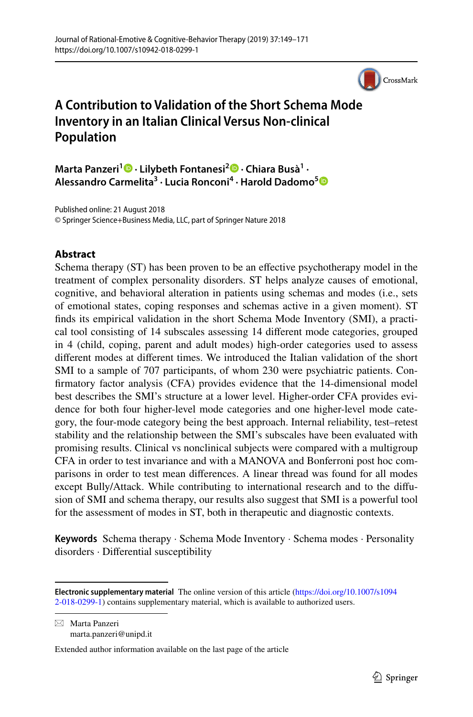CrossMark

# **A Contribution to Validation of the Short Schema Mode Inventory in an Italian Clinical Versus Non‑clinical Population**

**Marta Panzeri<sup>1</sup> · Lilybeth Fontanesi2 · Chiara Busà1 · Alessandro Carmelita<sup>3</sup> · Lucia Ronconi4 · Harold Dadomo5**

Published online: 21 August 2018 © Springer Science+Business Media, LLC, part of Springer Nature 2018

# **Abstract**

Schema therapy (ST) has been proven to be an efective psychotherapy model in the treatment of complex personality disorders. ST helps analyze causes of emotional, cognitive, and behavioral alteration in patients using schemas and modes (i.e., sets of emotional states, coping responses and schemas active in a given moment). ST fnds its empirical validation in the short Schema Mode Inventory (SMI), a practical tool consisting of 14 subscales assessing 14 diferent mode categories, grouped in 4 (child, coping, parent and adult modes) high-order categories used to assess diferent modes at diferent times. We introduced the Italian validation of the short SMI to a sample of 707 participants, of whom 230 were psychiatric patients. Confrmatory factor analysis (CFA) provides evidence that the 14-dimensional model best describes the SMI's structure at a lower level. Higher-order CFA provides evidence for both four higher-level mode categories and one higher-level mode category, the four-mode category being the best approach. Internal reliability, test–retest stability and the relationship between the SMI's subscales have been evaluated with promising results. Clinical vs nonclinical subjects were compared with a multigroup CFA in order to test invariance and with a MANOVA and Bonferroni post hoc comparisons in order to test mean diferences. A linear thread was found for all modes except Bully/Attack. While contributing to international research and to the difusion of SMI and schema therapy, our results also suggest that SMI is a powerful tool for the assessment of modes in ST, both in therapeutic and diagnostic contexts.

**Keywords** Schema therapy · Schema Mode Inventory · Schema modes · Personality disorders · Diferential susceptibility

 $\boxtimes$  Marta Panzeri marta.panzeri@unipd.it

Extended author information available on the last page of the article

**Electronic supplementary material** The online version of this article (https://doi.org/10.1007/s1094 2-018-0299-1) contains supplementary material, which is available to authorized users.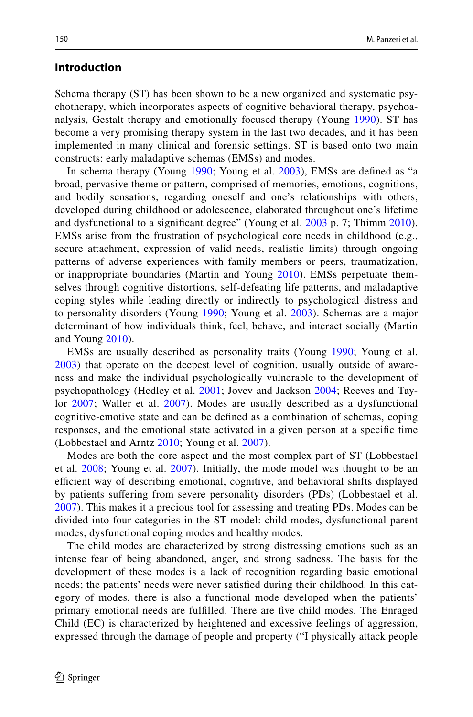# **Introduction**

Schema therapy (ST) has been shown to be a new organized and systematic psychotherapy, which incorporates aspects of cognitive behavioral therapy, psychoanalysis, Gestalt therapy and emotionally focused therapy (Young 1990). ST has become a very promising therapy system in the last two decades, and it has been implemented in many clinical and forensic settings. ST is based onto two main constructs: early maladaptive schemas (EMSs) and modes.

In schema therapy (Young 1990; Young et al. 2003), EMSs are defned as "a broad, pervasive theme or pattern, comprised of memories, emotions, cognitions, and bodily sensations, regarding oneself and one's relationships with others, developed during childhood or adolescence, elaborated throughout one's lifetime and dysfunctional to a signifcant degree" (Young et al. 2003 p. 7; Thimm 2010). EMSs arise from the frustration of psychological core needs in childhood (e.g., secure attachment, expression of valid needs, realistic limits) through ongoing patterns of adverse experiences with family members or peers, traumatization, or inappropriate boundaries (Martin and Young 2010). EMSs perpetuate themselves through cognitive distortions, self-defeating life patterns, and maladaptive coping styles while leading directly or indirectly to psychological distress and to personality disorders (Young 1990; Young et al. 2003). Schemas are a major determinant of how individuals think, feel, behave, and interact socially (Martin and Young 2010).

EMSs are usually described as personality traits (Young 1990; Young et al. 2003) that operate on the deepest level of cognition, usually outside of awareness and make the individual psychologically vulnerable to the development of psychopathology (Hedley et al. 2001; Jovev and Jackson 2004; Reeves and Taylor 2007; Waller et al. 2007). Modes are usually described as a dysfunctional cognitive-emotive state and can be defned as a combination of schemas, coping responses, and the emotional state activated in a given person at a specifc time (Lobbestael and Arntz 2010; Young et al. 2007).

Modes are both the core aspect and the most complex part of ST (Lobbestael et al. 2008; Young et al. 2007). Initially, the mode model was thought to be an efficient way of describing emotional, cognitive, and behavioral shifts displayed by patients sufering from severe personality disorders (PDs) (Lobbestael et al. 2007). This makes it a precious tool for assessing and treating PDs. Modes can be divided into four categories in the ST model: child modes, dysfunctional parent modes, dysfunctional coping modes and healthy modes.

The child modes are characterized by strong distressing emotions such as an intense fear of being abandoned, anger, and strong sadness. The basis for the development of these modes is a lack of recognition regarding basic emotional needs; the patients' needs were never satisfed during their childhood. In this category of modes, there is also a functional mode developed when the patients' primary emotional needs are fulflled. There are fve child modes. The Enraged Child (EC) is characterized by heightened and excessive feelings of aggression, expressed through the damage of people and property ("I physically attack people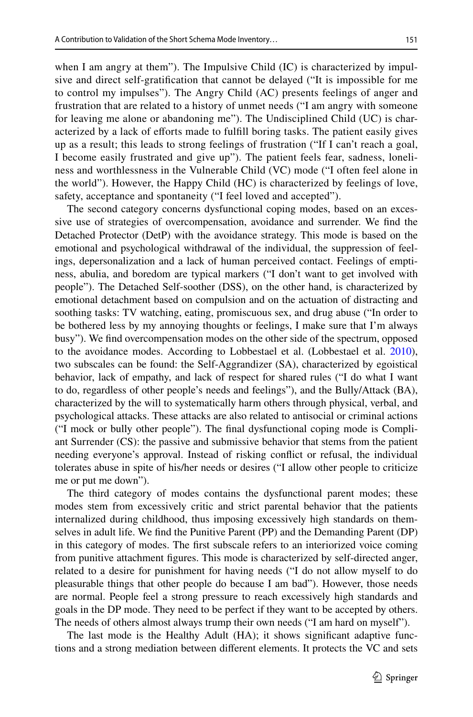when I am angry at them"). The Impulsive Child (IC) is characterized by impulsive and direct self-gratifcation that cannot be delayed ("It is impossible for me to control my impulses"). The Angry Child (AC) presents feelings of anger and frustration that are related to a history of unmet needs ("I am angry with someone for leaving me alone or abandoning me"). The Undisciplined Child (UC) is characterized by a lack of eforts made to fulfll boring tasks. The patient easily gives up as a result; this leads to strong feelings of frustration ("If I can't reach a goal, I become easily frustrated and give up"). The patient feels fear, sadness, loneliness and worthlessness in the Vulnerable Child (VC) mode ("I often feel alone in the world"). However, the Happy Child (HC) is characterized by feelings of love, safety, acceptance and spontaneity ("I feel loved and accepted").

The second category concerns dysfunctional coping modes, based on an excessive use of strategies of overcompensation, avoidance and surrender. We fnd the Detached Protector (DetP) with the avoidance strategy. This mode is based on the emotional and psychological withdrawal of the individual, the suppression of feelings, depersonalization and a lack of human perceived contact. Feelings of emptiness, abulia, and boredom are typical markers ("I don't want to get involved with people"). The Detached Self-soother (DSS), on the other hand, is characterized by emotional detachment based on compulsion and on the actuation of distracting and soothing tasks: TV watching, eating, promiscuous sex, and drug abuse ("In order to be bothered less by my annoying thoughts or feelings, I make sure that I'm always busy"). We fnd overcompensation modes on the other side of the spectrum, opposed to the avoidance modes. According to Lobbestael et al. (Lobbestael et al. 2010), two subscales can be found: the Self-Aggrandizer (SA), characterized by egoistical behavior, lack of empathy, and lack of respect for shared rules ("I do what I want to do, regardless of other people's needs and feelings"), and the Bully/Attack (BA), characterized by the will to systematically harm others through physical, verbal, and psychological attacks. These attacks are also related to antisocial or criminal actions ("I mock or bully other people"). The fnal dysfunctional coping mode is Compliant Surrender (CS): the passive and submissive behavior that stems from the patient needing everyone's approval. Instead of risking confict or refusal, the individual tolerates abuse in spite of his/her needs or desires ("I allow other people to criticize me or put me down").

The third category of modes contains the dysfunctional parent modes; these modes stem from excessively critic and strict parental behavior that the patients internalized during childhood, thus imposing excessively high standards on themselves in adult life. We fnd the Punitive Parent (PP) and the Demanding Parent (DP) in this category of modes. The frst subscale refers to an interiorized voice coming from punitive attachment fgures. This mode is characterized by self-directed anger, related to a desire for punishment for having needs ("I do not allow myself to do pleasurable things that other people do because I am bad"). However, those needs are normal. People feel a strong pressure to reach excessively high standards and goals in the DP mode. They need to be perfect if they want to be accepted by others. The needs of others almost always trump their own needs ("I am hard on myself").

The last mode is the Healthy Adult (HA); it shows signifcant adaptive functions and a strong mediation between diferent elements. It protects the VC and sets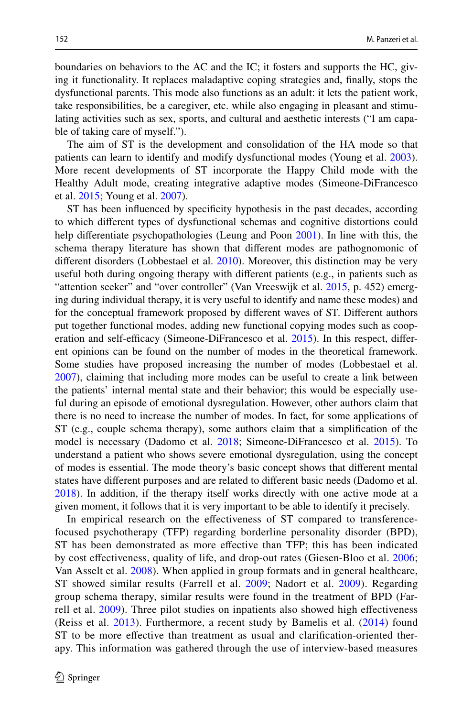boundaries on behaviors to the AC and the IC; it fosters and supports the HC, giving it functionality. It replaces maladaptive coping strategies and, fnally, stops the dysfunctional parents. This mode also functions as an adult: it lets the patient work, take responsibilities, be a caregiver, etc. while also engaging in pleasant and stimulating activities such as sex, sports, and cultural and aesthetic interests ("I am capable of taking care of myself.").

The aim of ST is the development and consolidation of the HA mode so that patients can learn to identify and modify dysfunctional modes (Young et al. 2003). More recent developments of ST incorporate the Happy Child mode with the Healthy Adult mode, creating integrative adaptive modes (Simeone-DiFrancesco et al. 2015; Young et al. 2007).

ST has been infuenced by specifcity hypothesis in the past decades, according to which diferent types of dysfunctional schemas and cognitive distortions could help diferentiate psychopathologies (Leung and Poon 2001). In line with this, the schema therapy literature has shown that diferent modes are pathognomonic of diferent disorders (Lobbestael et al. 2010). Moreover, this distinction may be very useful both during ongoing therapy with diferent patients (e.g., in patients such as "attention seeker" and "over controller" (Van Vreeswijk et al. 2015, p. 452) emerging during individual therapy, it is very useful to identify and name these modes) and for the conceptual framework proposed by diferent waves of ST. Diferent authors put together functional modes, adding new functional copying modes such as cooperation and self-efficacy (Simeone-DiFrancesco et al. 2015). In this respect, different opinions can be found on the number of modes in the theoretical framework. Some studies have proposed increasing the number of modes (Lobbestael et al. 2007), claiming that including more modes can be useful to create a link between the patients' internal mental state and their behavior; this would be especially useful during an episode of emotional dysregulation. However, other authors claim that there is no need to increase the number of modes. In fact, for some applications of ST (e.g., couple schema therapy), some authors claim that a simplifcation of the model is necessary (Dadomo et al. 2018; Simeone-DiFrancesco et al. 2015). To understand a patient who shows severe emotional dysregulation, using the concept of modes is essential. The mode theory's basic concept shows that diferent mental states have diferent purposes and are related to diferent basic needs (Dadomo et al. 2018). In addition, if the therapy itself works directly with one active mode at a given moment, it follows that it is very important to be able to identify it precisely.

In empirical research on the efectiveness of ST compared to transferencefocused psychotherapy (TFP) regarding borderline personality disorder (BPD), ST has been demonstrated as more efective than TFP; this has been indicated by cost efectiveness, quality of life, and drop-out rates (Giesen-Bloo et al. 2006; Van Asselt et al. 2008). When applied in group formats and in general healthcare, ST showed similar results (Farrell et al. 2009; Nadort et al. 2009). Regarding group schema therapy, similar results were found in the treatment of BPD (Farrell et al. 2009). Three pilot studies on inpatients also showed high efectiveness (Reiss et al. 2013). Furthermore, a recent study by Bamelis et al. (2014) found ST to be more efective than treatment as usual and clarifcation-oriented therapy. This information was gathered through the use of interview-based measures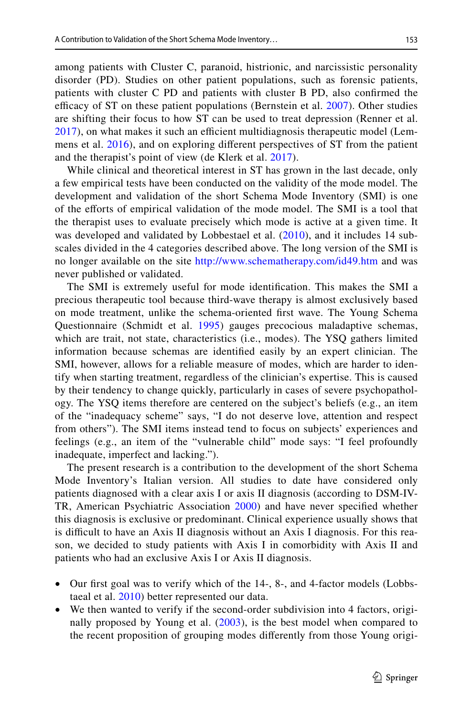among patients with Cluster C, paranoid, histrionic, and narcissistic personality disorder (PD). Studies on other patient populations, such as forensic patients, patients with cluster C PD and patients with cluster B PD, also confrmed the efficacy of ST on these patient populations (Bernstein et al. 2007). Other studies are shifting their focus to how ST can be used to treat depression (Renner et al. 2017), on what makes it such an efficient multidiagnosis therapeutic model (Lemmens et al. 2016), and on exploring diferent perspectives of ST from the patient and the therapist's point of view (de Klerk et al. 2017).

While clinical and theoretical interest in ST has grown in the last decade, only a few empirical tests have been conducted on the validity of the mode model. The development and validation of the short Schema Mode Inventory (SMI) is one of the eforts of empirical validation of the mode model. The SMI is a tool that the therapist uses to evaluate precisely which mode is active at a given time. It was developed and validated by Lobbestael et al. (2010), and it includes 14 subscales divided in the 4 categories described above. The long version of the SMI is no longer available on the site http://www.schematherapy.com/id49.htm and was never published or validated.

The SMI is extremely useful for mode identifcation. This makes the SMI a precious therapeutic tool because third-wave therapy is almost exclusively based on mode treatment, unlike the schema-oriented frst wave. The Young Schema Questionnaire (Schmidt et al. 1995) gauges precocious maladaptive schemas, which are trait, not state, characteristics (i.e., modes). The YSQ gathers limited information because schemas are identifed easily by an expert clinician. The SMI, however, allows for a reliable measure of modes, which are harder to identify when starting treatment, regardless of the clinician's expertise. This is caused by their tendency to change quickly, particularly in cases of severe psychopathology. The YSQ items therefore are centered on the subject's beliefs (e.g., an item of the "inadequacy scheme" says, "I do not deserve love, attention and respect from others"). The SMI items instead tend to focus on subjects' experiences and feelings (e.g., an item of the "vulnerable child" mode says: "I feel profoundly inadequate, imperfect and lacking.").

The present research is a contribution to the development of the short Schema Mode Inventory's Italian version. All studies to date have considered only patients diagnosed with a clear axis I or axis II diagnosis (according to DSM-IV-TR, American Psychiatric Association 2000) and have never specifed whether this diagnosis is exclusive or predominant. Clinical experience usually shows that is difficult to have an Axis II diagnosis without an Axis I diagnosis. For this reason, we decided to study patients with Axis I in comorbidity with Axis II and patients who had an exclusive Axis I or Axis II diagnosis.

- Our frst goal was to verify which of the 14-, 8-, and 4-factor models (Lobbstaeal et al. 2010) better represented our data.
- We then wanted to verify if the second-order subdivision into 4 factors, originally proposed by Young et al. (2003), is the best model when compared to the recent proposition of grouping modes diferently from those Young origi-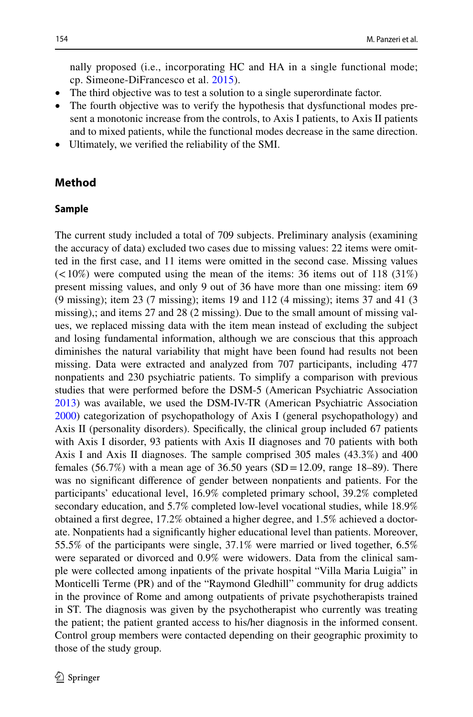nally proposed (i.e., incorporating HC and HA in a single functional mode; cp. Simeone-DiFrancesco et al. 2015).

- The third objective was to test a solution to a single superordinate factor.
- The fourth objective was to verify the hypothesis that dysfunctional modes present a monotonic increase from the controls, to Axis I patients, to Axis II patients and to mixed patients, while the functional modes decrease in the same direction.
- Ultimately, we verifed the reliability of the SMI.

# **Method**

#### **Sample**

The current study included a total of 709 subjects. Preliminary analysis (examining the accuracy of data) excluded two cases due to missing values: 22 items were omitted in the frst case, and 11 items were omitted in the second case. Missing values  $(< 10\%)$  were computed using the mean of the items: 36 items out of 118 (31%) present missing values, and only 9 out of 36 have more than one missing: item 69 (9 missing); item 23 (7 missing); items 19 and 112 (4 missing); items 37 and 41 (3 missing),; and items 27 and 28 (2 missing). Due to the small amount of missing values, we replaced missing data with the item mean instead of excluding the subject and losing fundamental information, although we are conscious that this approach diminishes the natural variability that might have been found had results not been missing. Data were extracted and analyzed from 707 participants, including 477 nonpatients and 230 psychiatric patients. To simplify a comparison with previous studies that were performed before the DSM-5 (American Psychiatric Association 2013) was available, we used the DSM-IV-TR (American Psychiatric Association 2000) categorization of psychopathology of Axis I (general psychopathology) and Axis II (personality disorders). Specifcally, the clinical group included 67 patients with Axis I disorder, 93 patients with Axis II diagnoses and 70 patients with both Axis I and Axis II diagnoses. The sample comprised 305 males (43.3%) and 400 females  $(56.7\%)$  with a mean age of 36.50 years  $(SD=12.09)$ , range 18–89). There was no signifcant diference of gender between nonpatients and patients. For the participants' educational level, 16.9% completed primary school, 39.2% completed secondary education, and 5.7% completed low-level vocational studies, while 18.9% obtained a frst degree, 17.2% obtained a higher degree, and 1.5% achieved a doctorate. Nonpatients had a signifcantly higher educational level than patients. Moreover, 55.5% of the participants were single, 37.1% were married or lived together, 6.5% were separated or divorced and 0.9% were widowers. Data from the clinical sample were collected among inpatients of the private hospital "Villa Maria Luigia" in Monticelli Terme (PR) and of the "Raymond Gledhill" community for drug addicts in the province of Rome and among outpatients of private psychotherapists trained in ST. The diagnosis was given by the psychotherapist who currently was treating the patient; the patient granted access to his/her diagnosis in the informed consent. Control group members were contacted depending on their geographic proximity to those of the study group.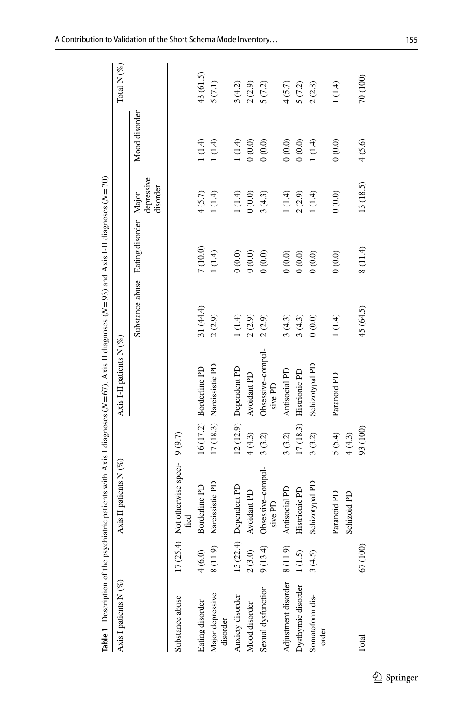|                              |          | <b>Table 1</b> Description of the psychiatric patients with Axis I diagnoses $(N = 67)$ , Axis II diagnoses $(N = 93)$ and Axis I-II diagnoses $(N = 70)$ |          |                              |           |                                 |                                 |               |                |
|------------------------------|----------|-----------------------------------------------------------------------------------------------------------------------------------------------------------|----------|------------------------------|-----------|---------------------------------|---------------------------------|---------------|----------------|
| Axis I patients N (%)        |          | Axis II patients $N$ (%)                                                                                                                                  |          | Axis I-II patients N (%)     |           |                                 |                                 |               | Total N $(\%)$ |
|                              |          |                                                                                                                                                           |          |                              |           | Substance abuse Eating disorder | depressive<br>disorder<br>Major | Mood disorder |                |
| Substance abuse              | 17(25.4) | Not otherwise speci- $9(9.7)$<br>fied                                                                                                                     |          |                              |           |                                 |                                 |               |                |
| Eating disorder              | 4(6.0)   | Borderline PD                                                                                                                                             |          | 16 (17.2) Borderline PD      | 31 (44.4) | 7(10.0)                         | 4(5.7)                          | 1(1.4)        | 43 (61.5)      |
| Major depressive<br>disorder | 8 (11.9) | Narcissistic PD                                                                                                                                           | 17(18.3) | Narcissistic PD              | 2(2.9)    | 1(1.4)                          | 1(1.4)                          | 1(1.4)        | 5(7.1)         |
| Anxiety disorder             | 15(22.4) | Dependent PD                                                                                                                                              |          | 12 (12.9) Dependent PD       | 1(1.4)    | 0(0.0)                          | 1(1.4)                          | 1(1.4)        | 3(4.2)         |
| Mood disorder                | 2(3.0)   | Avoidant PD                                                                                                                                               | 4(4.3)   | Avoidant PD                  | 2(2.9)    | (0.0)0                          | (0.0)0                          | (0.0)0        | 2(2.9)         |
| Sexual dysfunction           | 9(13.4)  | Obsessive-compul<br>sive PD                                                                                                                               | 3(3.2)   | Obsessive-compul-<br>sive PD | 2(2.9)    | (0.0)0                          | 3(4.3)                          | (0.0)0        | 5(7.2)         |
| Adjustment disorder          | 8 (11.9) | Antisocial PD                                                                                                                                             | 3(3.2)   | Antisocial PD                | 3(4.3)    | (0.0)0                          | 1(1.4)                          | (0.0)0        | 4(5.7)         |
| Dysthymic disorder           | 1(1.5)   | <b>Histrionic PD</b>                                                                                                                                      | 17(18.3) | Histrionic PD                | 3(4.3)    | (0.0)0                          | 2(2.9)                          | (0.0)0        | 5(7.2)         |
| Somatoform dis-<br>order     | 3(4.5)   | Schizotypal PD                                                                                                                                            | 3(3.2)   | Schizotypal PD               | 0(0.0)    | (0.0)0                          | 1(1.4)                          | 1(1.4)        | 2(2.8)         |
|                              |          | Paranoid PD                                                                                                                                               | 5(5.4)   | Paranoid PD                  | 1(1.4)    | (0.0, 0)                        | 0(0.0)                          | (0.0, 0)      | 1(1.4)         |
|                              |          | Schizoid PD                                                                                                                                               | 4(4.3)   |                              |           |                                 |                                 |               |                |
| Total                        | 67 (100) |                                                                                                                                                           | 93 (100) |                              | 45 (64.5) | 8 (11.4)                        | 13(18.5)                        | 4(5.6)        | 70 (100)       |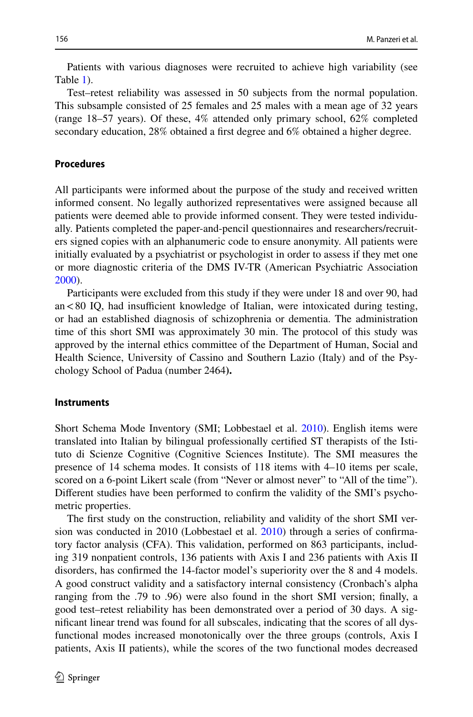Patients with various diagnoses were recruited to achieve high variability (see Table 1).

Test–retest reliability was assessed in 50 subjects from the normal population. This subsample consisted of 25 females and 25 males with a mean age of 32 years (range 18–57 years). Of these, 4% attended only primary school, 62% completed secondary education, 28% obtained a frst degree and 6% obtained a higher degree.

# **Procedures**

All participants were informed about the purpose of the study and received written informed consent. No legally authorized representatives were assigned because all patients were deemed able to provide informed consent. They were tested individually. Patients completed the paper-and-pencil questionnaires and researchers/recruiters signed copies with an alphanumeric code to ensure anonymity. All patients were initially evaluated by a psychiatrist or psychologist in order to assess if they met one or more diagnostic criteria of the DMS IV-TR (American Psychiatric Association 2000).

Participants were excluded from this study if they were under 18 and over 90, had an  $< 80$  IQ, had insufficient knowledge of Italian, were intoxicated during testing, or had an established diagnosis of schizophrenia or dementia. The administration time of this short SMI was approximately 30 min. The protocol of this study was approved by the internal ethics committee of the Department of Human, Social and Health Science, University of Cassino and Southern Lazio (Italy) and of the Psychology School of Padua (number 2464**).**

#### **Instruments**

Short Schema Mode Inventory (SMI; Lobbestael et al. 2010). English items were translated into Italian by bilingual professionally certifed ST therapists of the Istituto di Scienze Cognitive (Cognitive Sciences Institute). The SMI measures the presence of 14 schema modes. It consists of 118 items with 4–10 items per scale, scored on a 6-point Likert scale (from "Never or almost never" to "All of the time"). Diferent studies have been performed to confrm the validity of the SMI's psychometric properties.

The frst study on the construction, reliability and validity of the short SMI version was conducted in 2010 (Lobbestael et al. 2010) through a series of confrmatory factor analysis (CFA). This validation, performed on 863 participants, including 319 nonpatient controls, 136 patients with Axis I and 236 patients with Axis II disorders, has confrmed the 14-factor model's superiority over the 8 and 4 models. A good construct validity and a satisfactory internal consistency (Cronbach's alpha ranging from the .79 to .96) were also found in the short SMI version; fnally, a good test–retest reliability has been demonstrated over a period of 30 days. A signifcant linear trend was found for all subscales, indicating that the scores of all dysfunctional modes increased monotonically over the three groups (controls, Axis I patients, Axis II patients), while the scores of the two functional modes decreased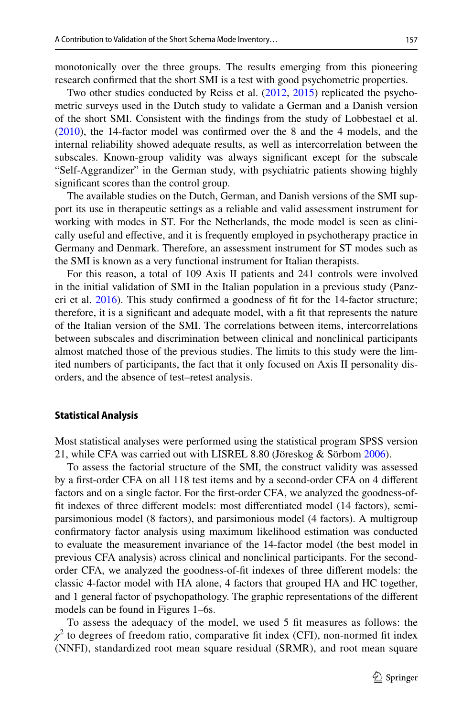monotonically over the three groups. The results emerging from this pioneering research confrmed that the short SMI is a test with good psychometric properties.

Two other studies conducted by Reiss et al. (2012, 2015) replicated the psychometric surveys used in the Dutch study to validate a German and a Danish version of the short SMI. Consistent with the fndings from the study of Lobbestael et al. (2010), the 14-factor model was confrmed over the 8 and the 4 models, and the internal reliability showed adequate results, as well as intercorrelation between the subscales. Known-group validity was always signifcant except for the subscale "Self-Aggrandizer" in the German study, with psychiatric patients showing highly signifcant scores than the control group.

The available studies on the Dutch, German, and Danish versions of the SMI support its use in therapeutic settings as a reliable and valid assessment instrument for working with modes in ST. For the Netherlands, the mode model is seen as clinically useful and efective, and it is frequently employed in psychotherapy practice in Germany and Denmark. Therefore, an assessment instrument for ST modes such as the SMI is known as a very functional instrument for Italian therapists.

For this reason, a total of 109 Axis II patients and 241 controls were involved in the initial validation of SMI in the Italian population in a previous study (Panzeri et al. 2016). This study confrmed a goodness of ft for the 14-factor structure; therefore, it is a signifcant and adequate model, with a ft that represents the nature of the Italian version of the SMI. The correlations between items, intercorrelations between subscales and discrimination between clinical and nonclinical participants almost matched those of the previous studies. The limits to this study were the limited numbers of participants, the fact that it only focused on Axis II personality disorders, and the absence of test–retest analysis.

#### **Statistical Analysis**

Most statistical analyses were performed using the statistical program SPSS version 21, while CFA was carried out with LISREL 8.80 (Jöreskog & Sörbom 2006).

To assess the factorial structure of the SMI, the construct validity was assessed by a frst-order CFA on all 118 test items and by a second-order CFA on 4 diferent factors and on a single factor. For the frst-order CFA, we analyzed the goodness-offt indexes of three diferent models: most diferentiated model (14 factors), semiparsimonious model (8 factors), and parsimonious model (4 factors). A multigroup confrmatory factor analysis using maximum likelihood estimation was conducted to evaluate the measurement invariance of the 14-factor model (the best model in previous CFA analysis) across clinical and nonclinical participants. For the secondorder CFA, we analyzed the goodness-of-ft indexes of three diferent models: the classic 4-factor model with HA alone, 4 factors that grouped HA and HC together, and 1 general factor of psychopathology. The graphic representations of the diferent models can be found in Figures 1–6s.

To assess the adequacy of the model, we used 5 ft measures as follows: the  $\chi^2$  to degrees of freedom ratio, comparative fit index (CFI), non-normed fit index (NNFI), standardized root mean square residual (SRMR), and root mean square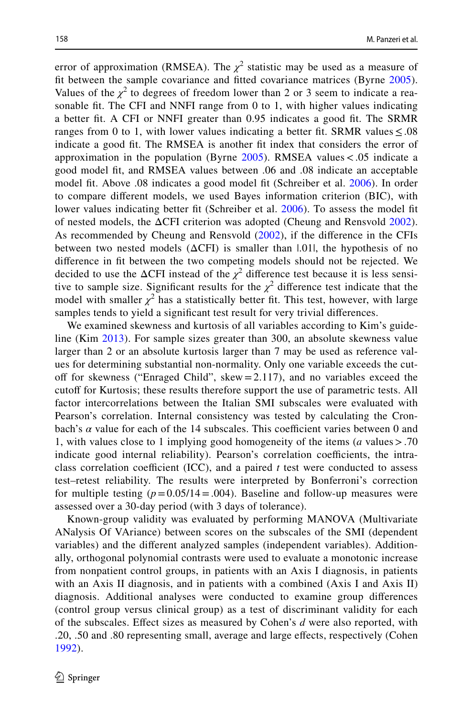error of approximation (RMSEA). The  $\chi^2$  statistic may be used as a measure of ft between the sample covariance and ftted covariance matrices (Byrne 2005). Values of the  $\chi^2$  to degrees of freedom lower than 2 or 3 seem to indicate a reasonable ft. The CFI and NNFI range from 0 to 1, with higher values indicating a better ft. A CFI or NNFI greater than 0.95 indicates a good ft. The SRMR ranges from 0 to 1, with lower values indicating a better fit. SRMR values  $\leq .08$ indicate a good ft. The RMSEA is another ft index that considers the error of approximation in the population (Byrne  $2005$ ). RMSEA values < 0.05 indicate a good model ft, and RMSEA values between .06 and .08 indicate an acceptable model ft. Above .08 indicates a good model ft (Schreiber et al. 2006). In order to compare diferent models, we used Bayes information criterion (BIC), with lower values indicating better fit (Schreiber et al. 2006). To assess the model fit of nested models, the  $\Delta$ CFI criterion was adopted (Cheung and Rensvold 2002). As recommended by Cheung and Rensvold (2002), if the diference in the CFIs between two nested models ( $\Delta$ CFI) is smaller than 1.011, the hypothesis of no diference in ft between the two competing models should not be rejected. We decided to use the  $\Delta$ CFI instead of the  $\chi^2$  difference test because it is less sensitive to sample size. Significant results for the  $\chi^2$  difference test indicate that the model with smaller  $\chi^2$  has a statistically better fit. This test, however, with large samples tends to yield a signifcant test result for very trivial diferences.

We examined skewness and kurtosis of all variables according to Kim's guideline (Kim 2013). For sample sizes greater than 300, an absolute skewness value larger than 2 or an absolute kurtosis larger than 7 may be used as reference values for determining substantial non-normality. Only one variable exceeds the cutoff for skewness ("Enraged Child", skew  $= 2.117$ ), and no variables exceed the cutoff for Kurtosis; these results therefore support the use of parametric tests. All factor intercorrelations between the Italian SMI subscales were evaluated with Pearson's correlation. Internal consistency was tested by calculating the Cronbach's  $\alpha$  value for each of the 14 subscales. This coefficient varies between 0 and 1, with values close to 1 implying good homogeneity of the items (*a* values>.70 indicate good internal reliability). Pearson's correlation coefficients, the intraclass correlation coefficient (ICC), and a paired  $t$  test were conducted to assess test–retest reliability. The results were interpreted by Bonferroni's correction for multiple testing  $(p=0.05/14=.004)$ . Baseline and follow-up measures were assessed over a 30-day period (with 3 days of tolerance).

Known-group validity was evaluated by performing MANOVA (Multivariate ANalysis Of VAriance) between scores on the subscales of the SMI (dependent variables) and the diferent analyzed samples (independent variables). Additionally, orthogonal polynomial contrasts were used to evaluate a monotonic increase from nonpatient control groups, in patients with an Axis I diagnosis, in patients with an Axis II diagnosis, and in patients with a combined (Axis I and Axis II) diagnosis. Additional analyses were conducted to examine group diferences (control group versus clinical group) as a test of discriminant validity for each of the subscales. Efect sizes as measured by Cohen's *d* were also reported, with .20, .50 and .80 representing small, average and large efects, respectively (Cohen 1992).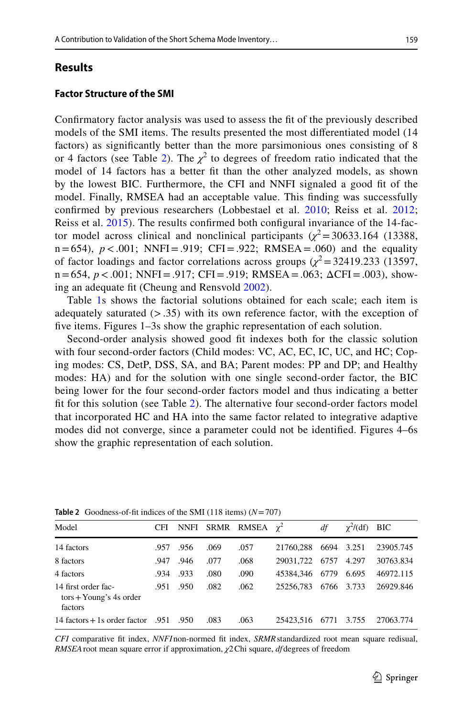#### **Results**

# **Factor Structure of the SMI**

Confrmatory factor analysis was used to assess the ft of the previously described models of the SMI items. The results presented the most diferentiated model (14 factors) as signifcantly better than the more parsimonious ones consisting of 8 or 4 factors (see Table 2). The  $\chi^2$  to degrees of freedom ratio indicated that the model of 14 factors has a better ft than the other analyzed models, as shown by the lowest BIC. Furthermore, the CFI and NNFI signaled a good ft of the model. Finally, RMSEA had an acceptable value. This fnding was successfully confrmed by previous researchers (Lobbestael et al. 2010; Reiss et al. 2012; Reiss et al. 2015). The results confrmed both confgural invariance of the 14-factor model across clinical and nonclinical participants ( $\chi^2$  = 30633.164 (13388,  $n=654$ ),  $p < .001$ ; NNFI = .919; CFI = .922; RMSEA = .060) and the equality of factor loadings and factor correlations across groups  $(\chi^2 = 32419.233$  (13597, n=654, *p*<.001; NNFI=.917; CFI=.919; RMSEA =.063; ΔCFI=.003), showing an adequate ft (Cheung and Rensvold 2002).

Table 1s shows the factorial solutions obtained for each scale; each item is adequately saturated  $(> .35)$  with its own reference factor, with the exception of five items. Figures 1–3s show the graphic representation of each solution.

Second-order analysis showed good ft indexes both for the classic solution with four second-order factors (Child modes: VC, AC, EC, IC, UC, and HC; Coping modes: CS, DetP, DSS, SA, and BA; Parent modes: PP and DP; and Healthy modes: HA) and for the solution with one single second-order factor, the BIC being lower for the four second-order factors model and thus indicating a better ft for this solution (see Table 2). The alternative four second-order factors model that incorporated HC and HA into the same factor related to integrative adaptive modes did not converge, since a parameter could not be identifed. Figures 4–6s show the graphic representation of each solution.

| $\frac{1}{2}$                                               |      |      |      |                          |                      |      |                     |           |
|-------------------------------------------------------------|------|------|------|--------------------------|----------------------|------|---------------------|-----------|
| Model                                                       | CFI  |      |      | NNFI SRMR RMSEA $\chi^2$ |                      | df   | $\gamma^2/(df)$ BIC |           |
| 14 factors                                                  | .957 | .956 | .069 | .057                     | 21760.288            |      | 6694 3.251          | 23905.745 |
| 8 factors                                                   | .947 | .946 | .077 | .068                     | 29031.722 6757 4.297 |      |                     | 30763.834 |
| 4 factors                                                   | .934 | .933 | .080 | .090                     | 45384.346            | 6779 | 6.695               | 46972.115 |
| 14 first order fac-<br>$tors + Young's 4s$ order<br>factors | .951 | .950 | .082 | .062                     | 25256.783            |      | 6766 3.733          | 26929.846 |
| 14 factors $+$ 1s order factor .951                         |      | .950 | .083 | .063                     | 25423.516            | 6771 | 3.755               | 27063.774 |

**Table 2** Goodness-of-fit indices of the SMI (118 items)  $(N=707)$ 

*CFI* comparative ft index, *NNFI* non-normed ft index, *SRMR*standardized root mean square redisual, *RMSEA*root mean square error if approximation, *χ*2Chi square, *df*degrees of freedom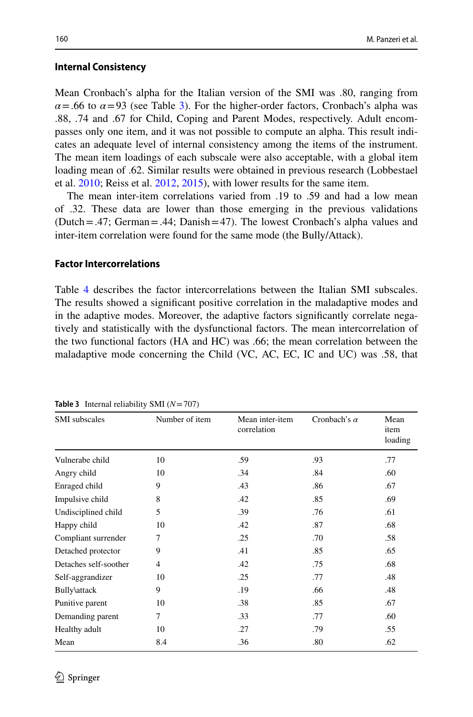#### **Internal Consistency**

Mean Cronbach's alpha for the Italian version of the SMI was .80, ranging from  $\alpha$ =.66 to  $\alpha$ =93 (see Table 3). For the higher-order factors, Cronbach's alpha was .88, .74 and .67 for Child, Coping and Parent Modes, respectively. Adult encompasses only one item, and it was not possible to compute an alpha. This result indicates an adequate level of internal consistency among the items of the instrument. The mean item loadings of each subscale were also acceptable, with a global item loading mean of .62. Similar results were obtained in previous research (Lobbestael et al. 2010; Reiss et al. 2012, 2015), with lower results for the same item.

The mean inter-item correlations varied from .19 to .59 and had a low mean of .32. These data are lower than those emerging in the previous validations (Dutch=.47; German=.44; Danish=47). The lowest Cronbach's alpha values and inter-item correlation were found for the same mode (the Bully/Attack).

#### **Factor Intercorrelations**

Table 4 describes the factor intercorrelations between the Italian SMI subscales. The results showed a signifcant positive correlation in the maladaptive modes and in the adaptive modes. Moreover, the adaptive factors signifcantly correlate negatively and statistically with the dysfunctional factors. The mean intercorrelation of the two functional factors (HA and HC) was .66; the mean correlation between the maladaptive mode concerning the Child (VC, AC, EC, IC and UC) was .58, that

| <b>SMI</b> subscales  | Number of item | Mean inter-item<br>correlation | Cronbach's $\alpha$ | Mean<br>item<br>loading |
|-----------------------|----------------|--------------------------------|---------------------|-------------------------|
| Vulnerabe child       | 10             | .59                            | .93                 | .77                     |
| Angry child           | 10             | .34                            | .84                 | .60                     |
| Enraged child         | 9              | .43                            | .86                 | .67                     |
| Impulsive child       | 8              | .42                            | .85                 | .69                     |
| Undisciplined child   | 5              | .39                            | .76                 | .61                     |
| Happy child           | 10             | .42                            | .87                 | .68                     |
| Compliant surrender   | 7              | .25                            | .70                 | .58                     |
| Detached protector    | 9              | .41                            | .85                 | .65                     |
| Detaches self-soother | $\overline{4}$ | .42                            | .75                 | .68                     |
| Self-aggrandizer      | 10             | .25                            | .77                 | .48                     |
| <b>Bully</b> \attack  | 9              | .19                            | .66                 | .48                     |
| Punitive parent       | 10             | .38                            | .85                 | .67                     |
| Demanding parent      | 7              | .33                            | .77                 | .60                     |
| Healthy adult         | 10             | .27                            | .79                 | .55                     |
| Mean                  | 8.4            | .36                            | .80                 | .62                     |

**Table 3** Internal reliability SMI (*N*=707)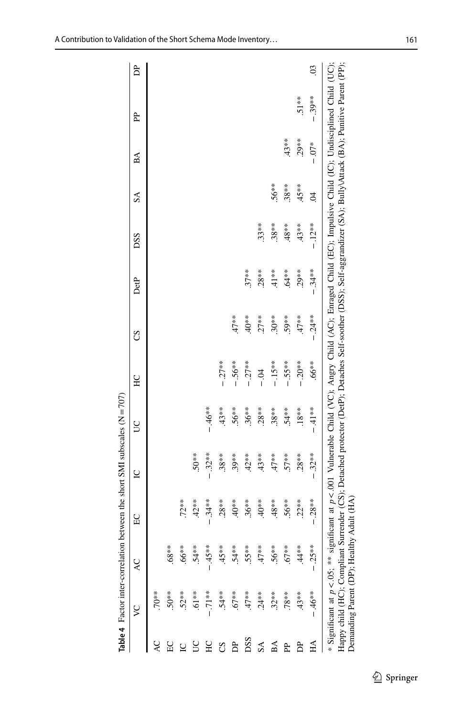|        | Table 4 Factor inter-correlation |                                           |              | between the short SMI subscales $(N = 707)$                                                                                                                                                                                                                                                                                             |         |          |         |         |            |                 |         |         |                |
|--------|----------------------------------|-------------------------------------------|--------------|-----------------------------------------------------------------------------------------------------------------------------------------------------------------------------------------------------------------------------------------------------------------------------------------------------------------------------------------|---------|----------|---------|---------|------------|-----------------|---------|---------|----------------|
|        | Š                                | <b>AC</b>                                 | EC           | $\overline{C}$                                                                                                                                                                                                                                                                                                                          | Š       | HC       | S       | DetP    | <b>DSS</b> | SA              | BA      | È       | È              |
| AC     | $.70**$                          |                                           |              |                                                                                                                                                                                                                                                                                                                                         |         |          |         |         |            |                 |         |         |                |
| EC     | $.50**$                          | $.68**$                                   |              |                                                                                                                                                                                                                                                                                                                                         |         |          |         |         |            |                 |         |         |                |
|        | $.52**$                          | $.66**$                                   | $.72**$      |                                                                                                                                                                                                                                                                                                                                         |         |          |         |         |            |                 |         |         |                |
|        | $.61**$                          | $.54**$                                   | $.42**$      | $50**$                                                                                                                                                                                                                                                                                                                                  |         |          |         |         |            |                 |         |         |                |
| HC     | $-71**$                          | $45**$                                    | $.34**$      | $-32**$                                                                                                                                                                                                                                                                                                                                 | $-46**$ |          |         |         |            |                 |         |         |                |
| S      | $.54**$                          | $45**$                                    | $.28**$      | $.38***$                                                                                                                                                                                                                                                                                                                                | $43**$  | $-27**$  |         |         |            |                 |         |         |                |
| চ্চ    | $.67**$                          | $.54**$                                   | $40**$       | $.39**$                                                                                                                                                                                                                                                                                                                                 | $.56**$ | $-56**$  | $.47**$ |         |            |                 |         |         |                |
| DSS    | $47**$                           | $.55**$                                   | $.36**$      | $.42**$                                                                                                                                                                                                                                                                                                                                 | $.36**$ | $-.27**$ | $40**$  | $37**$  |            |                 |         |         |                |
| $S\!A$ | $.24**$                          | $.47**$                                   | $40*$        | $43**$                                                                                                                                                                                                                                                                                                                                  | $.28**$ | $-0.4$   | $.27**$ | $.28**$ | $.33**$    |                 |         |         |                |
| ΒÁ     | $.32**$                          | $.56**$                                   | $.48**$      | $.47**$                                                                                                                                                                                                                                                                                                                                 | $.38**$ | $-15**$  | $.30**$ | $41**$  | $.38**$    | $.56**$         |         |         |                |
| Ê      | $.78**$                          | $.67**$                                   | $.56**$      | $.57**$                                                                                                                                                                                                                                                                                                                                 | $.54**$ | $-.55**$ | $.59**$ | $.64**$ | $48*$      | $.38**$         | $.43**$ |         |                |
| à      | $43**$                           | $4^{**}$                                  | $.22**$      | $.28**$                                                                                                                                                                                                                                                                                                                                 | $.18**$ | $-20**$  | $.47**$ | $.29**$ | $.43**$    | $45**$          | $.29**$ | $.51**$ |                |
| HA     | $-46**$                          | $.25**$                                   | $.28**$<br>Ī | $.32**$                                                                                                                                                                                                                                                                                                                                 | $41**$  | $.66**$  | $.24**$ | $-34**$ | $-12**$    | $\widetilde{q}$ | $.07*$  | $-39**$ | $\overline{0}$ |
|        |                                  | Demanding Parent (DP); Healthy Adult (HA) |              | Happy child (HC); Compliant Surrender (CS); Detached protector (DetP); Detaches Self-soother (DSS); Self-aggrandizer (SA); BullyAttack (BA); Punitive Parent (PP);<br>* Significant at p < .05; ** significant at p < .001 Vulnerable Child (WC); Angry Child (AC); Enraged Child (EC); Impulsive Child (IC); Undisciplined Child (UC); |         |          |         |         |            |                 |         |         |                |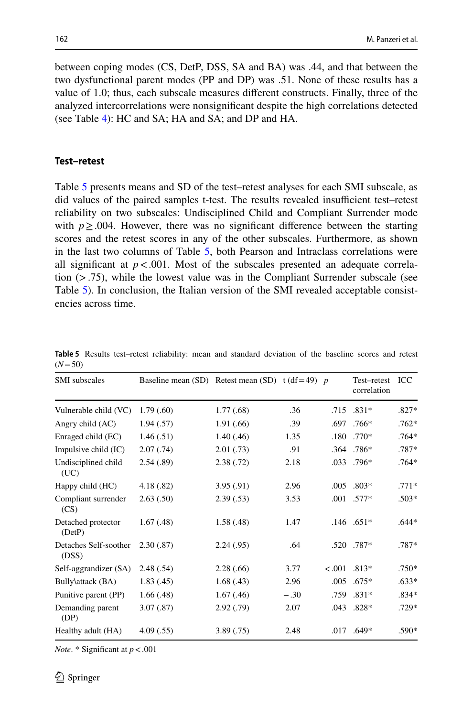between coping modes (CS, DetP, DSS, SA and BA) was .44, and that between the two dysfunctional parent modes (PP and DP) was .51. None of these results has a value of 1.0; thus, each subscale measures diferent constructs. Finally, three of the analyzed intercorrelations were nonsignifcant despite the high correlations detected (see Table 4): HC and SA; HA and SA; and DP and HA.

#### **Test–retest**

Table 5 presents means and SD of the test–retest analyses for each SMI subscale, as did values of the paired samples t-test. The results revealed insufficient test–retest reliability on two subscales: Undisciplined Child and Compliant Surrender mode with  $p > .004$ . However, there was no significant difference between the starting scores and the retest scores in any of the other subscales. Furthermore, as shown in the last two columns of Table 5, both Pearson and Intraclass correlations were all significant at  $p < .001$ . Most of the subscales presented an adequate correlation  $(> .75)$ , while the lowest value was in the Compliant Surrender subscale (see Table 5). In conclusion, the Italian version of the SMI revealed acceptable consistencies across time.

| <b>SMI</b> subscales           | Baseline mean (SD) Retest mean (SD) $t (df=49)$ p |            |        |         | Test-retest<br>correlation | ICC     |
|--------------------------------|---------------------------------------------------|------------|--------|---------|----------------------------|---------|
| Vulnerable child (VC)          | 1.79(.60)                                         | 1.77(0.68) | .36    | .715    | $.831*$                    | $.827*$ |
| Angry child (AC)               | 1.94(.57)                                         | 1.91(.66)  | .39    | .697    | $.766*$                    | $.762*$ |
| Enraged child (EC)             | 1.46(.51)                                         | 1.40(0.46) | 1.35   | .180    | $.770*$                    | $.764*$ |
| Impulsive child (IC)           | 2.07(0.74)                                        | 2.01(0.73) | .91    | .364    | $.786*$                    | .787*   |
| Undisciplined child<br>(UC)    | 2.54(.89)                                         | 2.38(.72)  | 2.18   |         | $.033$ .796*               | $.764*$ |
| Happy child (HC)               | 4.18(.82)                                         | 3.95(.91)  | 2.96   | .005    | $.803*$                    | $.771*$ |
| Compliant surrender<br>(CS)    | 2.63(.50)                                         | 2.39(.53)  | 3.53   |         | $.001$ .577*               | $.503*$ |
| Detached protector<br>(DetP)   | 1.67(0.48)                                        | 1.58(.48)  | 1.47   |         | $.146$ $.651*$             | $.644*$ |
| Detaches Self-soother<br>(DSS) | 2.30(0.87)                                        | 2.24(.95)  | .64    |         | .520 .787*                 | .787*   |
| Self-aggrandizer (SA)          | 2.48(.54)                                         | 2.28(.66)  | 3.77   | < 0.001 | $.813*$                    | $.750*$ |
| Bully\attack (BA)              | 1.83(0.45)                                        | 1.68(0.43) | 2.96   | .005    | $.675*$                    | $.633*$ |
| Punitive parent (PP)           | 1.66(0.48)                                        | 1.67(0.46) | $-.30$ | .759    | $.831*$                    | $.834*$ |
| Demanding parent<br>(DP)       | 3.07(.87)                                         | 2.92(0.79) | 2.07   | .043    | $.828*$                    | $.729*$ |
| Healthy adult (HA)             | 4.09(.55)                                         | 3.89(.75)  | 2.48   | .017    | $.649*$                    | .590*   |

**Table 5** Results test–retest reliability: mean and standard deviation of the baseline scores and retest  $(N=50)$ 

*Note*. \* Signifcant at *p*<.001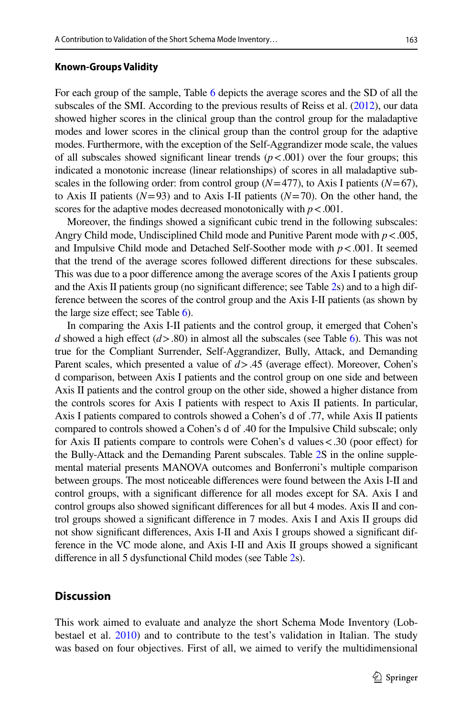#### **Known‑Groups Validity**

For each group of the sample, Table 6 depicts the average scores and the SD of all the subscales of the SMI. According to the previous results of Reiss et al. (2012), our data showed higher scores in the clinical group than the control group for the maladaptive modes and lower scores in the clinical group than the control group for the adaptive modes. Furthermore, with the exception of the Self-Aggrandizer mode scale, the values of all subscales showed significant linear trends  $(p < .001)$  over the four groups; this indicated a monotonic increase (linear relationships) of scores in all maladaptive subscales in the following order: from control group  $(N=477)$ , to Axis I patients  $(N=67)$ , to Axis II patients (*N*=93) and to Axis I-II patients (*N*=70). On the other hand, the scores for the adaptive modes decreased monotonically with *p*<.001.

Moreover, the fndings showed a signifcant cubic trend in the following subscales: Angry Child mode, Undisciplined Child mode and Punitive Parent mode with *p*<.005, and Impulsive Child mode and Detached Self-Soother mode with  $p < .001$ . It seemed that the trend of the average scores followed diferent directions for these subscales. This was due to a poor diference among the average scores of the Axis I patients group and the Axis II patients group (no signifcant diference; see Table 2s) and to a high difference between the scores of the control group and the Axis I-II patients (as shown by the large size effect; see Table 6).

In comparing the Axis I-II patients and the control group, it emerged that Cohen's *d* showed a high effect  $(d > .80)$  in almost all the subscales (see Table 6). This was not true for the Compliant Surrender, Self-Aggrandizer, Bully, Attack, and Demanding Parent scales, which presented a value of *d*>.45 (average efect). Moreover, Cohen's d comparison, between Axis I patients and the control group on one side and between Axis II patients and the control group on the other side, showed a higher distance from the controls scores for Axis I patients with respect to Axis II patients. In particular, Axis I patients compared to controls showed a Cohen's d of .77, while Axis II patients compared to controls showed a Cohen's d of .40 for the Impulsive Child subscale; only for Axis II patients compare to controls were Cohen's d values<.30 (poor efect) for the Bully-Attack and the Demanding Parent subscales. Table 2S in the online supplemental material presents MANOVA outcomes and Bonferroni's multiple comparison between groups. The most noticeable diferences were found between the Axis I-II and control groups, with a signifcant diference for all modes except for SA. Axis I and control groups also showed signifcant diferences for all but 4 modes. Axis II and control groups showed a signifcant diference in 7 modes. Axis I and Axis II groups did not show signifcant diferences, Axis I-II and Axis I groups showed a signifcant difference in the VC mode alone, and Axis I-II and Axis II groups showed a signifcant diference in all 5 dysfunctional Child modes (see Table 2s).

# **Discussion**

This work aimed to evaluate and analyze the short Schema Mode Inventory (Lobbestael et al. 2010) and to contribute to the test's validation in Italian. The study was based on four objectives. First of all, we aimed to verify the multidimensional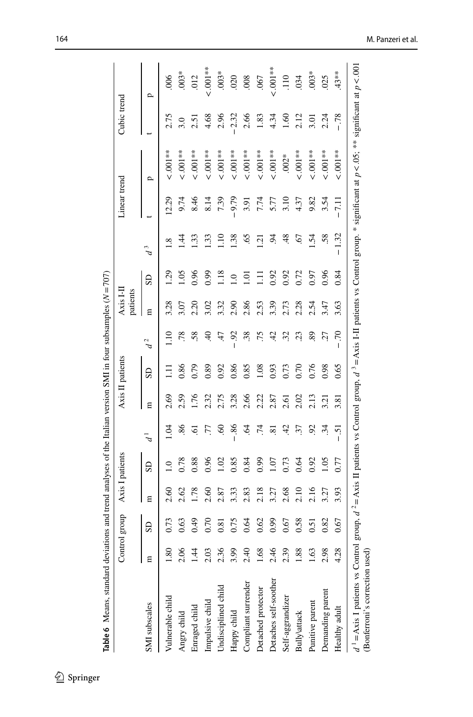|                                                                      | Control | dnora |      | Axis I patients |               |      | Axis II patients |                      | Axis I-II<br>patients |             |                        | Linear trend |                                                                                                                                                         | Cubic trend |           |
|----------------------------------------------------------------------|---------|-------|------|-----------------|---------------|------|------------------|----------------------|-----------------------|-------------|------------------------|--------------|---------------------------------------------------------------------------------------------------------------------------------------------------------|-------------|-----------|
| SMI subscales                                                        | Ξ       | GS    | Ξ    | GS              | $\tilde{b}$   | Ξ    | GS               | N<br>$\overline{a}$  | Ξ                     | <b>GS</b>   | $d^3$                  |              | ≏                                                                                                                                                       |             | ≏         |
| Vulnerable child                                                     | 1.80    | 0.73  | 2.60 | Q               | Ŕ             | 2.69 | ٩                |                      | 3.28                  | 59          | œ.                     | 12.29        | $2.001**$                                                                                                                                               | 2.75        | 800       |
| Angry child                                                          | 2.06    | 0.63  | 2.62 | 0.78            | 86            | 2.59 | 0.86             | .78                  | 3.07                  | SÔ          | $\overline{4}$         | 9.74         | $2.001**$                                                                                                                                               |             | $.003*$   |
| Enraged child                                                        | 1.44    | 649   | 1.78 | 0.88            | ত্            | 1.76 | 0.79             | 58.                  | 2.20                  | 0.96        | $\frac{33}{2}$         | 8.46         | $2.001**$                                                                                                                                               | 2.5         | 012       |
| Impulsive child                                                      | 2.03    | 0.70  | 2.60 | 0.96            | L.            | 2.32 | 0.89             | $\partial_{\dot{r}}$ | 3.02                  | 0.99        | $\frac{33}{2}$         | 8.14         | $2.001**$                                                                                                                                               | 4.68        | $00.1**$  |
| Undisciplined child                                                  | 2.36    | 0.81  | 2.87 | 1.02            | 8             | 2.75 | 0.92             | 47                   | 3.32                  | 1.18        | $\Xi$                  | 7.39         | $2.001**$                                                                                                                                               | 2.96        | $0.03*$   |
| Happy child                                                          | 3.99    | 0.75  | 3.33 | 0.85            | 86            | 3.28 | 0.86             | $-92$                | 2.90                  | $\supseteq$ | 1.38                   | $-9.79$      | $2.001**$                                                                                                                                               | 2.32        | .020      |
| Compliant surrender                                                  | 2.40    | 0.64  | 2.83 | 0.84            | Ş             | 2.66 | 0.85             | 38                   | 2.86                  | <u>io</u>   | 65                     | 3.91         | $2.001**$                                                                                                                                               | 2.66        | .008      |
| Detached protector                                                   | 1.68    | 0.62  | 2.18 | 0.99            | $\ddot{z}$    | 2.22 | 1.08             | .75                  | 2.53                  | Ξ           | $\overline{\Xi}$       | 7.74         | $2.001**$                                                                                                                                               | 1.83        | .067      |
| Detaches self-soother                                                | 2.46    | 0.99  | 3.27 | Ċ,              | 8             | 2.87 | 0.93             | 42                   | 3.39                  | 0.92        | 3                      | 5.77         | $0.001**$                                                                                                                                               | 4.34        | $2.001**$ |
| Self-aggrandizer                                                     | 2.39    | 0.67  | 2.68 | 0.73            | $\ddot{c}$    | 2.61 | 0.73             | 32                   | 2.73                  | 0.92        | $\frac{8}{4}$          | 3.10         | $.002*$                                                                                                                                                 | 1,60        | .110      |
| Bully\attack                                                         | 1.88    | 0.58  | 2.10 | 0.64            | 37            | 2.02 | 0.70             | 23                   | 2.28                  | 0.72        | 67                     | 4.37         | $0.001**$                                                                                                                                               | 2.12        | 034       |
| Punitive parent                                                      | 1.63    | 0.51  | 2.16 | 0.92            | $\mathcal{S}$ | 2.13 | 0.76             | 89                   | 2.54                  | 0.97        | $\dot{5}$              | 9.82         | $2.001**$                                                                                                                                               | 3.01        | $.003*$   |
| Demanding parent                                                     | 2.98    | 0.82  | 3.27 | 105             | 24            | 3.21 | 0.98             | 27                   | 3.47                  | 0.96        | 58                     | 3.54         | $2.001**$                                                                                                                                               | 2.24        | 025       |
| Healthy adult                                                        | 4.28    | 0.67  | 3.93 | 0.77            | 51<br>I       | 3.81 | 0.65             | .70                  | 3.63                  | 0.84        | 1.32<br>$\overline{1}$ | <b>T.T</b>   | $11***$                                                                                                                                                 | $-78$       | $.43**$   |
| $d^1$ = Axis I patients vs Control<br>(Bonferroni's correction used) |         |       |      |                 |               |      |                  |                      |                       |             |                        |              | group, $d^2 = Axi$ II patients vs Control group, $d^3 = Axi$ I-II patients vs Control group. * significant at $p < 0.05$ , ** significant at $p < 0.01$ |             |           |

 $\mathcal{L}$  Springer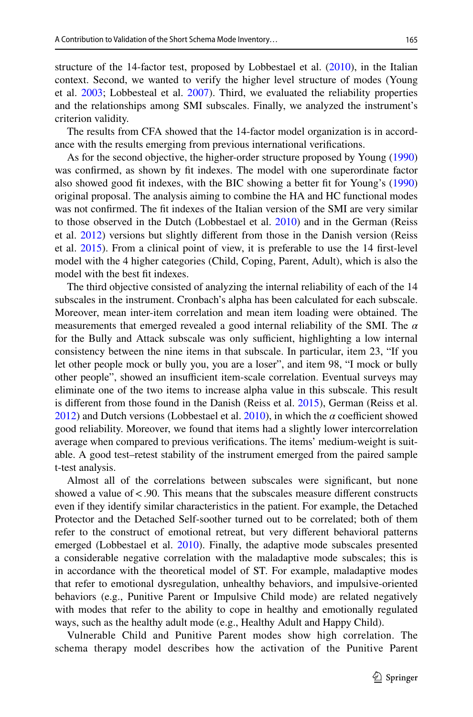structure of the 14-factor test, proposed by Lobbestael et al. (2010), in the Italian context. Second, we wanted to verify the higher level structure of modes (Young et al. 2003; Lobbesteal et al. 2007). Third, we evaluated the reliability properties and the relationships among SMI subscales. Finally, we analyzed the instrument's criterion validity.

The results from CFA showed that the 14-factor model organization is in accordance with the results emerging from previous international verifcations.

As for the second objective, the higher-order structure proposed by Young (1990) was confrmed, as shown by ft indexes. The model with one superordinate factor also showed good ft indexes, with the BIC showing a better ft for Young's (1990) original proposal. The analysis aiming to combine the HA and HC functional modes was not confrmed. The ft indexes of the Italian version of the SMI are very similar to those observed in the Dutch (Lobbestael et al. 2010) and in the German (Reiss et al. 2012) versions but slightly diferent from those in the Danish version (Reiss et al. 2015). From a clinical point of view, it is preferable to use the 14 frst-level model with the 4 higher categories (Child, Coping, Parent, Adult), which is also the model with the best ft indexes.

The third objective consisted of analyzing the internal reliability of each of the 14 subscales in the instrument. Cronbach's alpha has been calculated for each subscale. Moreover, mean inter-item correlation and mean item loading were obtained. The measurements that emerged revealed a good internal reliability of the SMI. The *α* for the Bully and Attack subscale was only sufficient, highlighting a low internal consistency between the nine items in that subscale. In particular, item 23, "If you let other people mock or bully you, you are a loser", and item 98, "I mock or bully other people", showed an insufficient item-scale correlation. Eventual surveys may eliminate one of the two items to increase alpha value in this subscale. This result is diferent from those found in the Danish (Reiss et al. 2015), German (Reiss et al. 2012) and Dutch versions (Lobbestael et al.  $2010$ ), in which the  $\alpha$  coefficient showed good reliability. Moreover, we found that items had a slightly lower intercorrelation average when compared to previous verifcations. The items' medium-weight is suitable. A good test–retest stability of the instrument emerged from the paired sample t-test analysis.

Almost all of the correlations between subscales were signifcant, but none showed a value of  $\lt$ .90. This means that the subscales measure different constructs even if they identify similar characteristics in the patient. For example, the Detached Protector and the Detached Self-soother turned out to be correlated; both of them refer to the construct of emotional retreat, but very diferent behavioral patterns emerged (Lobbestael et al. 2010). Finally, the adaptive mode subscales presented a considerable negative correlation with the maladaptive mode subscales; this is in accordance with the theoretical model of ST. For example, maladaptive modes that refer to emotional dysregulation, unhealthy behaviors, and impulsive-oriented behaviors (e.g., Punitive Parent or Impulsive Child mode) are related negatively with modes that refer to the ability to cope in healthy and emotionally regulated ways, such as the healthy adult mode (e.g., Healthy Adult and Happy Child).

Vulnerable Child and Punitive Parent modes show high correlation. The schema therapy model describes how the activation of the Punitive Parent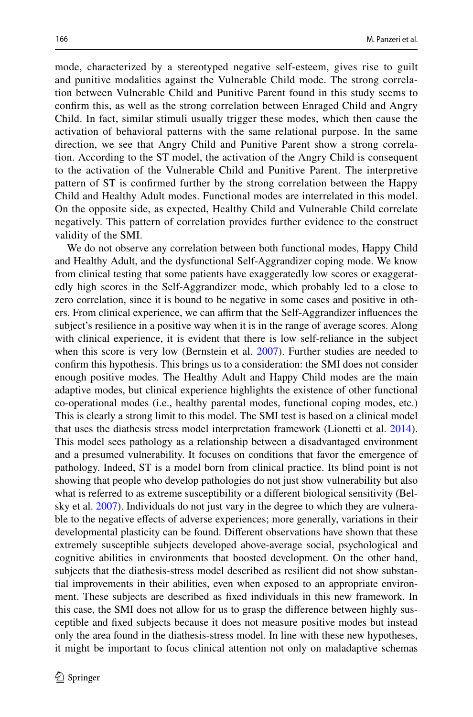mode, characterized by a stereotyped negative self-esteem, gives rise to guilt and punitive modalities against the Vulnerable Child mode. The strong correlation between Vulnerable Child and Punitive Parent found in this study seems to confrm this, as well as the strong correlation between Enraged Child and Angry Child. In fact, similar stimuli usually trigger these modes, which then cause the activation of behavioral patterns with the same relational purpose. In the same direction, we see that Angry Child and Punitive Parent show a strong correlation. According to the ST model, the activation of the Angry Child is consequent to the activation of the Vulnerable Child and Punitive Parent. The interpretive pattern of ST is confrmed further by the strong correlation between the Happy Child and Healthy Adult modes. Functional modes are interrelated in this model. On the opposite side, as expected, Healthy Child and Vulnerable Child correlate negatively. This pattern of correlation provides further evidence to the construct validity of the SMI.

We do not observe any correlation between both functional modes, Happy Child and Healthy Adult, and the dysfunctional Self-Aggrandizer coping mode. We know from clinical testing that some patients have exaggeratedly low scores or exaggeratedly high scores in the Self-Aggrandizer mode, which probably led to a close to zero correlation, since it is bound to be negative in some cases and positive in others. From clinical experience, we can afrm that the Self-Aggrandizer infuences the subject's resilience in a positive way when it is in the range of average scores. Along with clinical experience, it is evident that there is low self-reliance in the subject when this score is very low (Bernstein et al. 2007). Further studies are needed to confrm this hypothesis. This brings us to a consideration: the SMI does not consider enough positive modes. The Healthy Adult and Happy Child modes are the main adaptive modes, but clinical experience highlights the existence of other functional co-operational modes (i.e., healthy parental modes, functional coping modes, etc.) This is clearly a strong limit to this model. The SMI test is based on a clinical model that uses the diathesis stress model interpretation framework (Lionetti et al. 2014). This model sees pathology as a relationship between a disadvantaged environment and a presumed vulnerability. It focuses on conditions that favor the emergence of pathology. Indeed, ST is a model born from clinical practice. Its blind point is not showing that people who develop pathologies do not just show vulnerability but also what is referred to as extreme susceptibility or a diferent biological sensitivity (Belsky et al. 2007). Individuals do not just vary in the degree to which they are vulnerable to the negative efects of adverse experiences; more generally, variations in their developmental plasticity can be found. Diferent observations have shown that these extremely susceptible subjects developed above-average social, psychological and cognitive abilities in environments that boosted development. On the other hand, subjects that the diathesis-stress model described as resilient did not show substantial improvements in their abilities, even when exposed to an appropriate environment. These subjects are described as fxed individuals in this new framework. In this case, the SMI does not allow for us to grasp the diference between highly susceptible and fxed subjects because it does not measure positive modes but instead only the area found in the diathesis-stress model. In line with these new hypotheses, it might be important to focus clinical attention not only on maladaptive schemas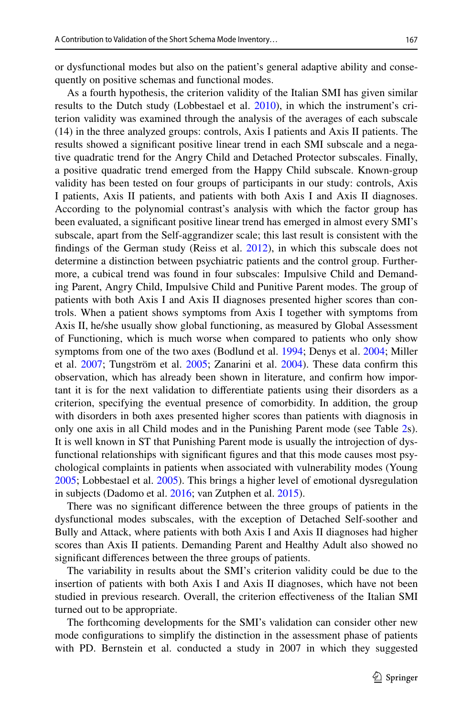or dysfunctional modes but also on the patient's general adaptive ability and consequently on positive schemas and functional modes.

As a fourth hypothesis, the criterion validity of the Italian SMI has given similar results to the Dutch study (Lobbestael et al. 2010), in which the instrument's criterion validity was examined through the analysis of the averages of each subscale (14) in the three analyzed groups: controls, Axis I patients and Axis II patients. The results showed a signifcant positive linear trend in each SMI subscale and a negative quadratic trend for the Angry Child and Detached Protector subscales. Finally, a positive quadratic trend emerged from the Happy Child subscale. Known-group validity has been tested on four groups of participants in our study: controls, Axis I patients, Axis II patients, and patients with both Axis I and Axis II diagnoses. According to the polynomial contrast's analysis with which the factor group has been evaluated, a signifcant positive linear trend has emerged in almost every SMI's subscale, apart from the Self-aggrandizer scale; this last result is consistent with the fndings of the German study (Reiss et al. 2012), in which this subscale does not determine a distinction between psychiatric patients and the control group. Furthermore, a cubical trend was found in four subscales: Impulsive Child and Demanding Parent, Angry Child, Impulsive Child and Punitive Parent modes. The group of patients with both Axis I and Axis II diagnoses presented higher scores than controls. When a patient shows symptoms from Axis I together with symptoms from Axis II, he/she usually show global functioning, as measured by Global Assessment of Functioning, which is much worse when compared to patients who only show symptoms from one of the two axes (Bodlund et al. 1994; Denys et al. 2004; Miller et al. 2007; Tungström et al. 2005; Zanarini et al. 2004). These data confrm this observation, which has already been shown in literature, and confrm how important it is for the next validation to diferentiate patients using their disorders as a criterion, specifying the eventual presence of comorbidity. In addition, the group with disorders in both axes presented higher scores than patients with diagnosis in only one axis in all Child modes and in the Punishing Parent mode (see Table 2s). It is well known in ST that Punishing Parent mode is usually the introjection of dysfunctional relationships with signifcant fgures and that this mode causes most psychological complaints in patients when associated with vulnerability modes (Young 2005; Lobbestael et al. 2005). This brings a higher level of emotional dysregulation in subjects (Dadomo et al. 2016; van Zutphen et al. 2015).

There was no signifcant diference between the three groups of patients in the dysfunctional modes subscales, with the exception of Detached Self-soother and Bully and Attack, where patients with both Axis I and Axis II diagnoses had higher scores than Axis II patients. Demanding Parent and Healthy Adult also showed no signifcant diferences between the three groups of patients.

The variability in results about the SMI's criterion validity could be due to the insertion of patients with both Axis I and Axis II diagnoses, which have not been studied in previous research. Overall, the criterion efectiveness of the Italian SMI turned out to be appropriate.

The forthcoming developments for the SMI's validation can consider other new mode confgurations to simplify the distinction in the assessment phase of patients with PD. Bernstein et al. conducted a study in 2007 in which they suggested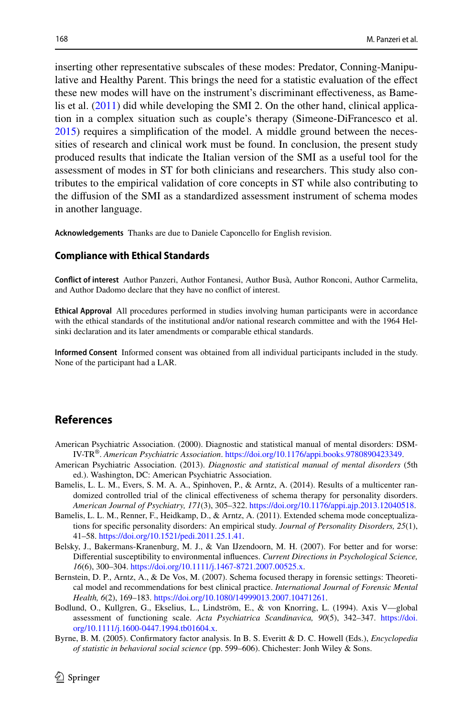inserting other representative subscales of these modes: Predator, Conning-Manipulative and Healthy Parent. This brings the need for a statistic evaluation of the efect these new modes will have on the instrument's discriminant efectiveness, as Bamelis et al. (2011) did while developing the SMI 2. On the other hand, clinical application in a complex situation such as couple's therapy (Simeone-DiFrancesco et al. 2015) requires a simplifcation of the model. A middle ground between the necessities of research and clinical work must be found. In conclusion, the present study produced results that indicate the Italian version of the SMI as a useful tool for the assessment of modes in ST for both clinicians and researchers. This study also contributes to the empirical validation of core concepts in ST while also contributing to the difusion of the SMI as a standardized assessment instrument of schema modes in another language.

**Acknowledgements** Thanks are due to Daniele Caponcello for English revision.

#### **Compliance with Ethical Standards**

**Confict of interest** Author Panzeri, Author Fontanesi, Author Busà, Author Ronconi, Author Carmelita, and Author Dadomo declare that they have no confict of interest.

**Ethical Approval** All procedures performed in studies involving human participants were in accordance with the ethical standards of the institutional and/or national research committee and with the 1964 Helsinki declaration and its later amendments or comparable ethical standards.

**Informed Consent** Informed consent was obtained from all individual participants included in the study. None of the participant had a LAR.

# **References**

- American Psychiatric Association. (2000). Diagnostic and statistical manual of mental disorders: DSM-IV-TR®. *American Psychiatric Association*. https://doi.org/10.1176/appi.books.9780890423349.
- American Psychiatric Association. (2013). *Diagnostic and statistical manual of mental disorders* (5th ed.). Washington, DC: American Psychiatric Association.
- Bamelis, L. L. M., Evers, S. M. A. A., Spinhoven, P., & Arntz, A. (2014). Results of a multicenter randomized controlled trial of the clinical efectiveness of schema therapy for personality disorders. *American Journal of Psychiatry, 171*(3), 305–322. https://doi.org/10.1176/appi.ajp.2013.12040518.
- Bamelis, L. L. M., Renner, F., Heidkamp, D., & Arntz, A. (2011). Extended schema mode conceptualizations for specifc personality disorders: An empirical study. *Journal of Personality Disorders, 25*(1), 41–58. https://doi.org/10.1521/pedi.2011.25.1.41.
- Belsky, J., Bakermans-Kranenburg, M. J., & Van IJzendoorn, M. H. (2007). For better and for worse: Diferential susceptibility to environmental infuences. *Current Directions in Psychological Science, 16*(6), 300–304. https://doi.org/10.1111/j.1467-8721.2007.00525.x.
- Bernstein, D. P., Arntz, A., & De Vos, M. (2007). Schema focused therapy in forensic settings: Theoretical model and recommendations for best clinical practice. *International Journal of Forensic Mental Health, 6*(2), 169–183. https://doi.org/10.1080/14999013.2007.10471261.
- Bodlund, O., Kullgren, G., Ekselius, L., Lindström, E., & von Knorring, L. (1994). Axis V—global assessment of functioning scale. *Acta Psychiatrica Scandinavica, 90*(5), 342–347. https://doi. org/10.1111/j.1600-0447.1994.tb01604.x.
- Byrne, B. M. (2005). Confrmatory factor analysis. In B. S. Everitt & D. C. Howell (Eds.), *Encyclopedia of statistic in behavioral social science* (pp. 599–606). Chichester: Jonh Wiley & Sons.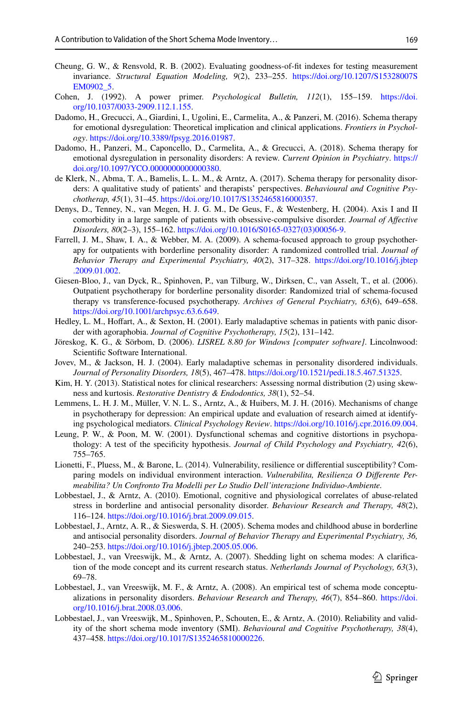- Cheung, G. W., & Rensvold, R. B. (2002). Evaluating goodness-of-ft indexes for testing measurement invariance. *Structural Equation Modeling, 9*(2), 233–255. https://doi.org/10.1207/S15328007S EM0902\_5.
- Cohen, J. (1992). A power primer. *Psychological Bulletin, 112*(1), 155–159. https://doi. org/10.1037/0033-2909.112.1.155.
- Dadomo, H., Grecucci, A., Giardini, I., Ugolini, E., Carmelita, A., & Panzeri, M. (2016). Schema therapy for emotional dysregulation: Theoretical implication and clinical applications. *Frontiers in Psychology*. https://doi.org/10.3389/fpsyg.2016.01987.
- Dadomo, H., Panzeri, M., Caponcello, D., Carmelita, A., & Grecucci, A. (2018). Schema therapy for emotional dysregulation in personality disorders: A review. *Current Opinion in Psychiatry*. https:// doi.org/10.1097/YCO.0000000000000380.
- de Klerk, N., Abma, T. A., Bamelis, L. L. M., & Arntz, A. (2017). Schema therapy for personality disorders: A qualitative study of patients' and therapists' perspectives. *Behavioural and Cognitive Psychotherap, 45*(1), 31–45. https://doi.org/10.1017/S1352465816000357.
- Denys, D., Tenney, N., van Megen, H. J. G. M., De Geus, F., & Westenberg, H. (2004). Axis I and II comorbidity in a large sample of patients with obsessive-compulsive disorder. *Journal of Afective Disorders, 80*(2–3), 155–162. https://doi.org/10.1016/S0165-0327(03)00056-9.
- Farrell, J. M., Shaw, I. A., & Webber, M. A. (2009). A schema-focused approach to group psychotherapy for outpatients with borderline personality disorder: A randomized controlled trial. *Journal of Behavior Therapy and Experimental Psychiatry, 40*(2), 317–328. https://doi.org/10.1016/j.jbtep .2009.01.002.
- Giesen-Bloo, J., van Dyck, R., Spinhoven, P., van Tilburg, W., Dirksen, C., van Asselt, T., et al. (2006). Outpatient psychotherapy for borderline personality disorder: Randomized trial of schema-focused therapy vs transference-focused psychotherapy. *Archives of General Psychiatry, 63*(6), 649–658. https://doi.org/10.1001/archpsyc.63.6.649.
- Hedley, L. M., Hofart, A., & Sexton, H. (2001). Early maladaptive schemas in patients with panic disorder with agoraphobia. *Journal of Cognitive Psychotherapy, 15*(2), 131–142.
- Jöreskog, K. G., & Sörbom, D. (2006). *LISREL 8.80 for Windows [computer software]*. Lincolnwood: Scientifc Software International.
- Jovev, M., & Jackson, H. J. (2004). Early maladaptive schemas in personality disordered individuals. *Journal of Personality Disorders, 18*(5), 467–478. https://doi.org/10.1521/pedi.18.5.467.51325.
- Kim, H. Y. (2013). Statistical notes for clinical researchers: Assessing normal distribution (2) using skewness and kurtosis. *Restorative Dentistry & Endodontics, 38*(1), 52–54.
- Lemmens, L. H. J. M., Müller, V. N. L. S., Arntz, A., & Huibers, M. J. H. (2016). Mechanisms of change in psychotherapy for depression: An empirical update and evaluation of research aimed at identifying psychological mediators. *Clinical Psychology Review*. https://doi.org/10.1016/j.cpr.2016.09.004.
- Leung, P. W., & Poon, M. W. (2001). Dysfunctional schemas and cognitive distortions in psychopathology: A test of the specifcity hypothesis. *Journal of Child Psychology and Psychiatry, 42*(6), 755–765.
- Lionetti, F., Pluess, M., & Barone, L. (2014). Vulnerability, resilience or diferential susceptibility? Comparing models on individual environment interaction. *Vulnerabilita, Resilienza O Diferente Permeabilita? Un Confronto Tra Modelli per Lo Studio Dell'interazione Individuo*-*Ambiente.*
- Lobbestael, J., & Arntz, A. (2010). Emotional, cognitive and physiological correlates of abuse-related stress in borderline and antisocial personality disorder. *Behaviour Research and Therapy, 48*(2), 116–124. https://doi.org/10.1016/j.brat.2009.09.015.
- Lobbestael, J., Arntz, A. R., & Sieswerda, S. H. (2005). Schema modes and childhood abuse in borderline and antisocial personality disorders. *Journal of Behavior Therapy and Experimental Psychiatry, 36,* 240–253. https://doi.org/10.1016/j.jbtep.2005.05.006.
- Lobbestael, J., van Vreeswijk, M., & Arntz, A. (2007). Shedding light on schema modes: A clarifcation of the mode concept and its current research status. *Netherlands Journal of Psychology, 63*(3), 69–78.
- Lobbestael, J., van Vreeswijk, M. F., & Arntz, A. (2008). An empirical test of schema mode conceptualizations in personality disorders. *Behaviour Research and Therapy, 46*(7), 854–860. https://doi. org/10.1016/j.brat.2008.03.006.
- Lobbestael, J., van Vreeswijk, M., Spinhoven, P., Schouten, E., & Arntz, A. (2010). Reliability and validity of the short schema mode inventory (SMI). *Behavioural and Cognitive Psychotherapy, 38*(4), 437–458. https://doi.org/10.1017/S1352465810000226.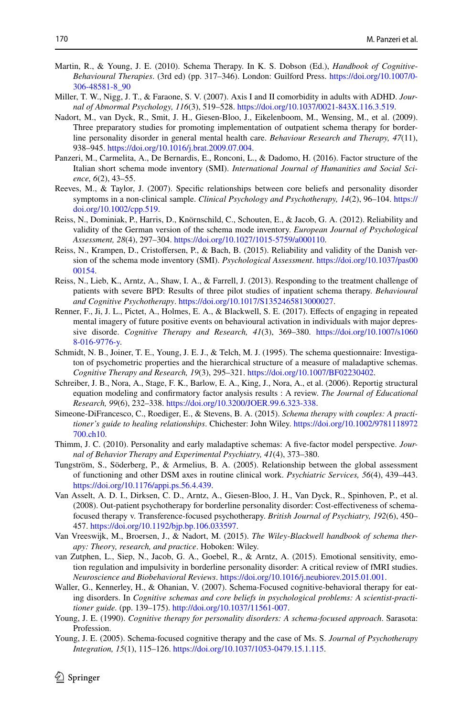- Martin, R., & Young, J. E. (2010). Schema Therapy. In K. S. Dobson (Ed.), *Handbook of Cognitive*-*Behavioural Therapies*. (3rd ed) (pp. 317–346). London: Guilford Press. https://doi.org/10.1007/0- 306-48581-8\_90
- Miller, T. W., Nigg, J. T., & Faraone, S. V. (2007). Axis I and II comorbidity in adults with ADHD. *Journal of Abnormal Psychology, 116*(3), 519–528. https://doi.org/10.1037/0021-843X.116.3.519.
- Nadort, M., van Dyck, R., Smit, J. H., Giesen-Bloo, J., Eikelenboom, M., Wensing, M., et al. (2009). Three preparatory studies for promoting implementation of outpatient schema therapy for borderline personality disorder in general mental health care. *Behaviour Research and Therapy, 47*(11), 938–945. https://doi.org/10.1016/j.brat.2009.07.004.
- Panzeri, M., Carmelita, A., De Bernardis, E., Ronconi, L., & Dadomo, H. (2016). Factor structure of the Italian short schema mode inventory (SMI). *International Journal of Humanities and Social Science, 6*(2), 43–55.
- Reeves, M., & Taylor, J. (2007). Specifc relationships between core beliefs and personality disorder symptoms in a non-clinical sample. *Clinical Psychology and Psychotherapy, 14*(2), 96–104. https:// doi.org/10.1002/cpp.519.
- Reiss, N., Dominiak, P., Harris, D., Knörnschild, C., Schouten, E., & Jacob, G. A. (2012). Reliability and validity of the German version of the schema mode inventory. *European Journal of Psychological Assessment, 28*(4), 297–304. https://doi.org/10.1027/1015-5759/a000110.
- Reiss, N., Krampen, D., Cristoffersen, P., & Bach, B. (2015). Reliability and validity of the Danish version of the schema mode inventory (SMI). *Psychological Assessment*. https://doi.org/10.1037/pas00 00154.
- Reiss, N., Lieb, K., Arntz, A., Shaw, I. A., & Farrell, J. (2013). Responding to the treatment challenge of patients with severe BPD: Results of three pilot studies of inpatient schema therapy. *Behavioural and Cognitive Psychotherapy*. https://doi.org/10.1017/S1352465813000027.
- Renner, F., Ji, J. L., Pictet, A., Holmes, E. A., & Blackwell, S. E. (2017). Efects of engaging in repeated mental imagery of future positive events on behavioural activation in individuals with major depressive disorde. *Cognitive Therapy and Research, 41*(3), 369–380. https://doi.org/10.1007/s1060 8-016-9776-y.
- Schmidt, N. B., Joiner, T. E., Young, J. E. J., & Telch, M. J. (1995). The schema questionnaire: Investigaton of psychometric properties and the hierarchical structure of a measure of maladaptive schemas. *Cognitive Therapy and Research, 19*(3), 295–321. https://doi.org/10.1007/BF02230402.
- Schreiber, J. B., Nora, A., Stage, F. K., Barlow, E. A., King, J., Nora, A., et al. (2006). Reportig structural equation modeling and confrmatory factor analysis results : A review. *The Journal of Educational Research, 99*(6), 232–338. https://doi.org/10.3200/JOER.99.6.323-338.
- Simeone-DiFrancesco, C., Roediger, E., & Stevens, B. A. (2015). *Schema therapy with couples: A practitioner's guide to healing relationships*. Chichester: John Wiley. https://doi.org/10.1002/9781118972 700.ch10.
- Thimm, J. C. (2010). Personality and early maladaptive schemas: A fve-factor model perspective. *Journal of Behavior Therapy and Experimental Psychiatry, 41*(4), 373–380.
- Tungström, S., Söderberg, P., & Armelius, B. A. (2005). Relationship between the global assessment of functioning and other DSM axes in routine clinical work. *Psychiatric Services, 56*(4), 439–443. https://doi.org/10.1176/appi.ps.56.4.439.
- Van Asselt, A. D. I., Dirksen, C. D., Arntz, A., Giesen-Bloo, J. H., Van Dyck, R., Spinhoven, P., et al. (2008). Out-patient psychotherapy for borderline personality disorder: Cost-efectiveness of schemafocused therapy v. Transference-focused psychotherapy. *British Journal of Psychiatry, 192*(6), 450– 457. https://doi.org/10.1192/bjp.bp.106.033597.
- Van Vreeswijk, M., Broersen, J., & Nadort, M. (2015). *The Wiley-Blackwell handbook of schema therapy: Theory, research, and practice*. Hoboken: Wiley.
- van Zutphen, L., Siep, N., Jacob, G. A., Goebel, R., & Arntz, A. (2015). Emotional sensitivity, emotion regulation and impulsivity in borderline personality disorder: A critical review of fMRI studies. *Neuroscience and Biobehavioral Reviews*. https://doi.org/10.1016/j.neubiorev.2015.01.001.
- Waller, G., Kennerley, H., & Ohanian, V. (2007). Schema-Focused cognitive-behavioral therapy for eating disorders. In *Cognitive schemas and core beliefs in psychological problems: A scientist-practitioner guide.* (pp. 139–175). http://doi.org/10.1037/11561-007.
- Young, J. E. (1990). *Cognitive therapy for personality disorders: A schema-focused approach*. Sarasota: Profession.
- Young, J. E. (2005). Schema-focused cognitive therapy and the case of Ms. S. *Journal of Psychotherapy Integration, 15*(1), 115–126. https://doi.org/10.1037/1053-0479.15.1.115.